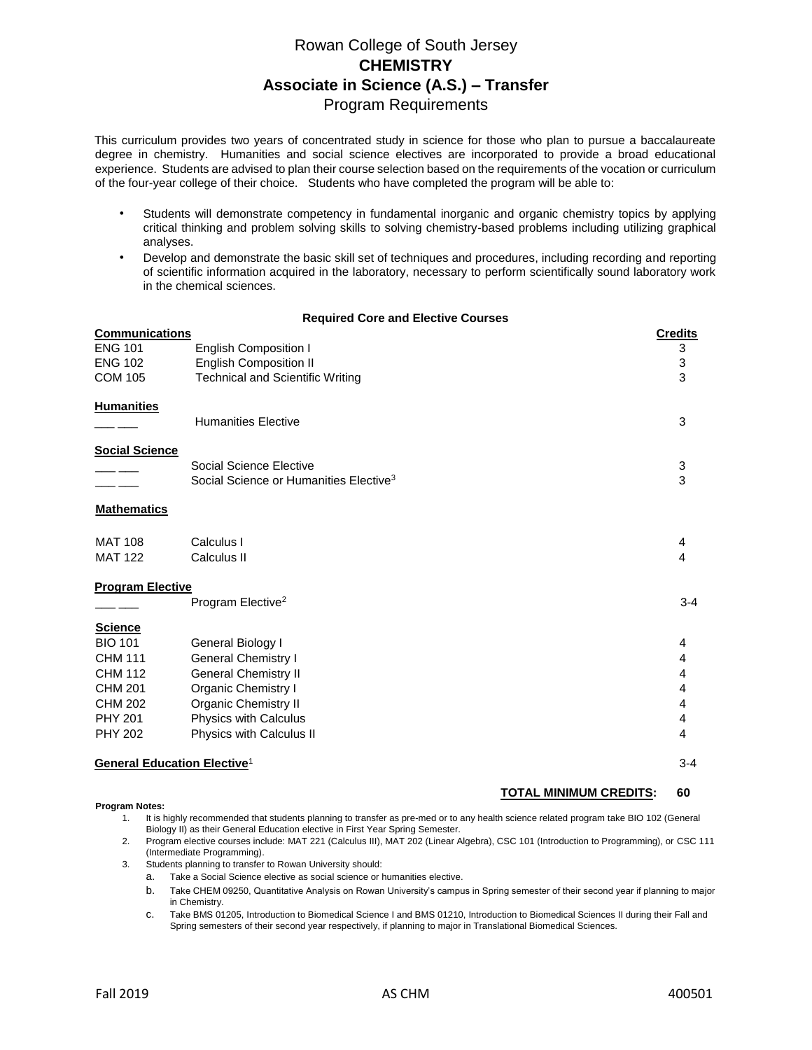# Rowan College of South Jersey **CHEMISTRY Associate in Science (A.S.) – Transfer**  Program Requirements

This curriculum provides two years of concentrated study in science for those who plan to pursue a baccalaureate degree in chemistry. Humanities and social science electives are incorporated to provide a broad educational experience. Students are advised to plan their course selection based on the requirements of the vocation or curriculum of the four-year college of their choice. Students who have completed the program will be able to:

- Students will demonstrate competency in fundamental inorganic and organic chemistry topics by applying critical thinking and problem solving skills to solving chemistry-based problems including utilizing graphical analyses.
- Develop and demonstrate the basic skill set of techniques and procedures, including recording and reporting of scientific information acquired in the laboratory, necessary to perform scientifically sound laboratory work in the chemical sciences.

### **Required Core and Elective Courses**

| <b>Communications</b>                                     | <b>Credits</b> |
|-----------------------------------------------------------|----------------|
| <b>ENG 101</b><br><b>English Composition I</b>            | 3              |
| <b>English Composition II</b><br><b>ENG 102</b>           | 3              |
| <b>Technical and Scientific Writing</b><br><b>COM 105</b> | 3              |
| <b>Humanities</b>                                         |                |
| <b>Humanities Elective</b>                                | 3              |
| <b>Social Science</b>                                     |                |
| Social Science Elective                                   | 3              |
| Social Science or Humanities Elective <sup>3</sup>        | 3              |
| <b>Mathematics</b>                                        |                |
| <b>MAT 108</b><br>Calculus I                              | 4              |
| <b>MAT 122</b><br>Calculus II                             | 4              |
| <b>Program Elective</b>                                   |                |
| Program Elective <sup>2</sup>                             | $3 - 4$        |
| <b>Science</b>                                            |                |
| <b>BIO 101</b><br>General Biology I                       | 4              |
| <b>CHM 111</b><br><b>General Chemistry I</b>              | 4              |
| <b>CHM 112</b><br><b>General Chemistry II</b>             | 4              |
| <b>CHM 201</b><br>Organic Chemistry I                     | 4              |
| <b>Organic Chemistry II</b><br><b>CHM 202</b>             | 4              |
| Physics with Calculus<br><b>PHY 201</b>                   | 4              |
| <b>PHY 202</b><br>Physics with Calculus II                | 4              |
| <b>General Education Elective<sup>1</sup></b>             | $3 - 4$        |

#### **Program Notes:**

# **TOTAL MINIMUM CREDITS: 60**

- 1. It is highly recommended that students planning to transfer as pre-med or to any health science related program take BIO 102 (General Biology II) as their General Education elective in First Year Spring Semester.
- 2. Program elective courses include: MAT 221 (Calculus III), MAT 202 (Linear Algebra), CSC 101 (Introduction to Programming), or CSC 111 (Intermediate Programming).
- 3. Students planning to transfer to Rowan University should:
	- a. Take a Social Science elective as social science or humanities elective.
	- b. Take CHEM 09250, Quantitative Analysis on Rowan University's campus in Spring semester of their second year if planning to major in Chemistry.
	- c. Take BMS 01205, Introduction to Biomedical Science I and BMS 01210, Introduction to Biomedical Sciences II during their Fall and Spring semesters of their second year respectively, if planning to major in Translational Biomedical Sciences.